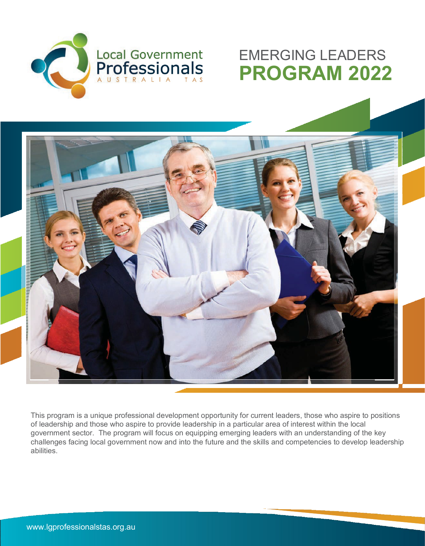

### EMERGING LEADERS **PROGRAM 2022**



This program is a unique professional development opportunity for current leaders, those who aspire to positions of leadership and those who aspire to provide leadership in a particular area of interest within the local government sector. The program will focus on equipping emerging leaders with an understanding of the key challenges facing local government now and into the future and the skills and competencies to develop leadership abilities.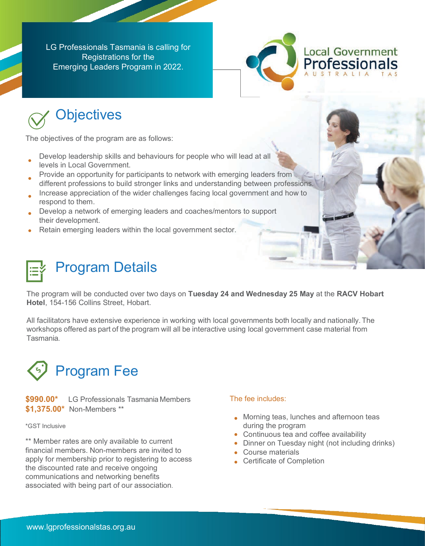LG Professionals Tasmania is calling for Registrations for the Emerging Leaders Program in 2022.



# **Objectives**

The objectives of the program are as follows:

- Develop leadership skills and behaviours for people who will lead at all levels in Local Government.
- Provide an opportunity for participants to network with emerging leaders from different professions to build stronger links and understanding between professions.
- Increase appreciation of the wider challenges facing local government and how to respond to them.
- Develop a network of emerging leaders and coaches/mentors to support their development.
- Retain emerging leaders within the local government sector.

## Program Details

The program will be conducted over two days on **Tuesday 24 and Wednesday 25 May** at the **RACV Hobart Hotel**, 154-156 Collins Street, Hobart.

All facilitators have extensive experience in working with local governments both locally and nationally. The workshops offered as part of the program will all be interactive using local government case material from Tasmania.



**\$990.00\*** LG Professionals Tasmania Members **\$1,375.00\*** Non-Members \*\*

\*GST Inclusive

\*\* Member rates are only available to current financial members. Non-members are invited to apply for membership prior to registering to access the discounted rate and receive ongoing communications and networking benefits associated with being part of our association.

#### The fee includes:

- **Morning teas, lunches and afternoon teas** during the program
- Continuous tea and coffee availability
- Dinner on Tuesday night (not including drinks)
- Course materials
- Certificate of Completion